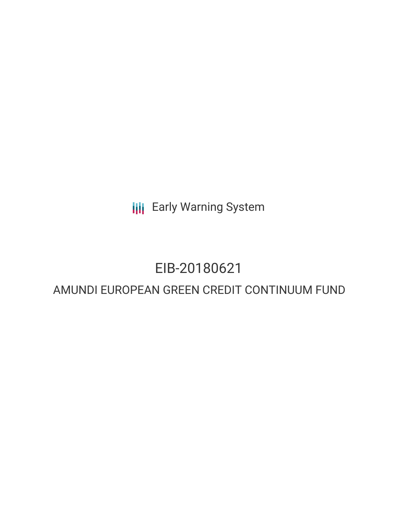**III** Early Warning System

# EIB-20180621

# AMUNDI EUROPEAN GREEN CREDIT CONTINUUM FUND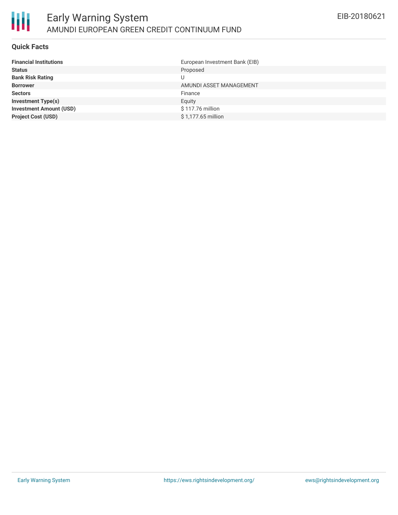

#### **Quick Facts**

朋

| <b>Financial Institutions</b>  | European Investment Bank (EIB) |
|--------------------------------|--------------------------------|
| <b>Status</b>                  | Proposed                       |
| <b>Bank Risk Rating</b>        |                                |
| <b>Borrower</b>                | AMUNDI ASSET MANAGEMENT        |
| <b>Sectors</b>                 | Finance                        |
| <b>Investment Type(s)</b>      | Equity                         |
| <b>Investment Amount (USD)</b> | \$117.76 million               |
| <b>Project Cost (USD)</b>      | \$1,177.65 million             |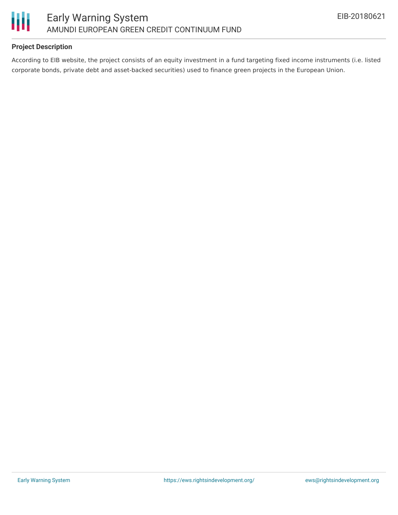

## **Project Description**

According to EIB website, the project consists of an equity investment in a fund targeting fixed income instruments (i.e. listed corporate bonds, private debt and asset-backed securities) used to finance green projects in the European Union.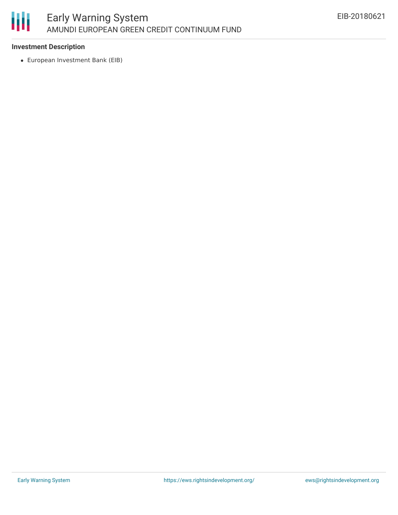

### **Investment Description**

European Investment Bank (EIB)